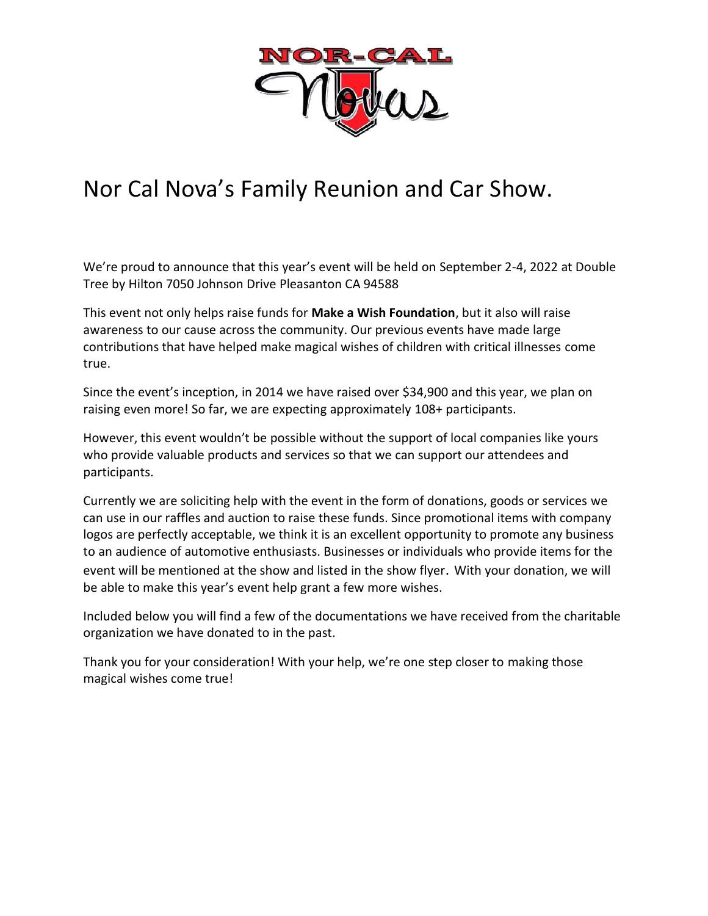

## Nor Cal Nova's Family Reunion and Car Show.

We're proud to announce that this year's event will be held on September 2-4, 2022 at Double Tree by Hilton 7050 Johnson Drive Pleasanton CA 94588

This event not only helps raise funds for **Make a Wish Foundation**, but it also will raise awareness to our cause across the community. Our previous events have made large contributions that have helped make magical wishes of children with critical illnesses come true.

Since the event's inception, in 2014 we have raised over \$34,900 and this year, we plan on raising even more! So far, we are expecting approximately 108+ participants.

However, this event wouldn't be possible without the support of local companies like yours who provide valuable products and services so that we can support our attendees and participants.

Currently we are soliciting help with the event in the form of donations, goods or services we can use in our raffles and auction to raise these funds. Since promotional items with company logos are perfectly acceptable, we think it is an excellent opportunity to promote any business to an audience of automotive enthusiasts. Businesses or individuals who provide items for the event will be mentioned at the show and listed in the show flyer. With your donation, we will be able to make this year's event help grant a few more wishes.

Included below you will find a few of the documentations we have received from the charitable organization we have donated to in the past.

Thank you for your consideration! With your help, we're one step closer to making those magical wishes come true!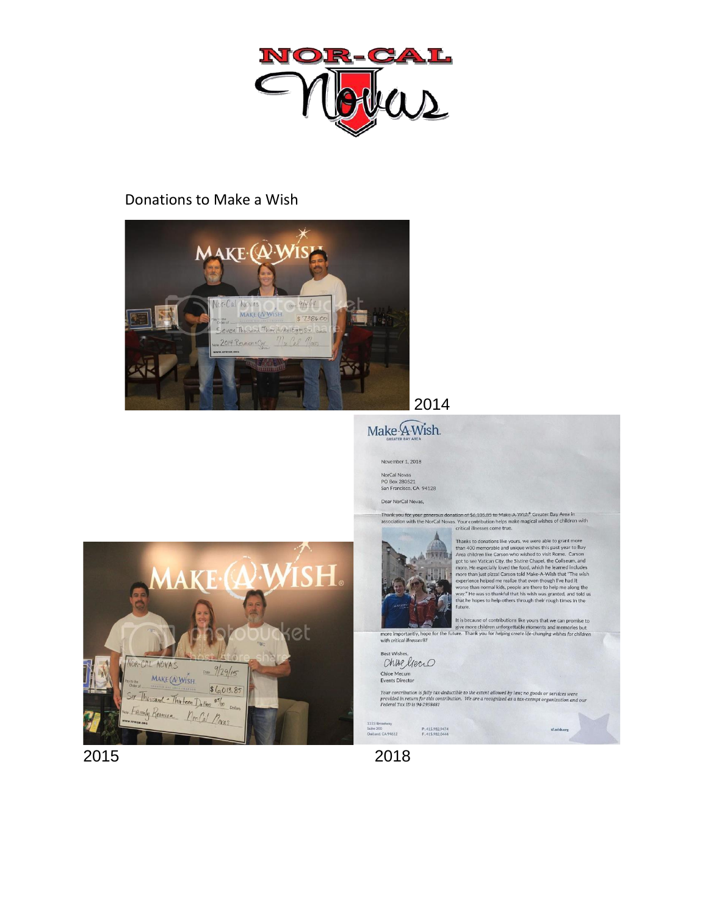

## Donations to Make a Wish



et

## 2014

## Make A Wish.

November 1, 2018 NorCal Novas

PO Box 280521<br>San Francisco, CA 94128

Dear NorCal Novas,

Thank you for your generous donation of \$6,105,85 to Make:A-Wish<sup>®</sup> Greater Bay Area in<br>association with the NorCal Novas. Your contribution helps make magical wishes of children with<br>critical illnesses come true.



Thanks to donations like yours, we were able to grant more<br>than 400 memorable and unique wishes this past year to Bay<br>Area children like Carson who wished to visit Rome. Carson<br>and got to see Vatican City, the Sixtine Cha

the secare of contributions like yours that we can promise to<br>the secare experiment of the full developing create life changing wishes for children<br>with critical illnesses is the future. Thank you for helping create life-c

Best Wishes, Chise liero Chloe Mecum<br>Events Director

Your contribution is fully tax-deductible to the extent allowed by law; no goods or services were<br>provided in return for this contribution. We are a recognized as a tax-exempt organization and our<br>Federal Tax ID is 94-2958

1333 Broadway<br>Suite 200<br>Oakland, CA 94612 P.415.982.9474<br>F.415.982.0444

2015 2018

VOR-CAL NOVAS

**MAKE WISH** 

 $S(c, 0)$ <br>Six Thousand . This teen  $D_0$ llers  $8\frac{c}{100}$ Family Remion Mor Cal Movas

Date 9/29/15

 $$6,013.85$